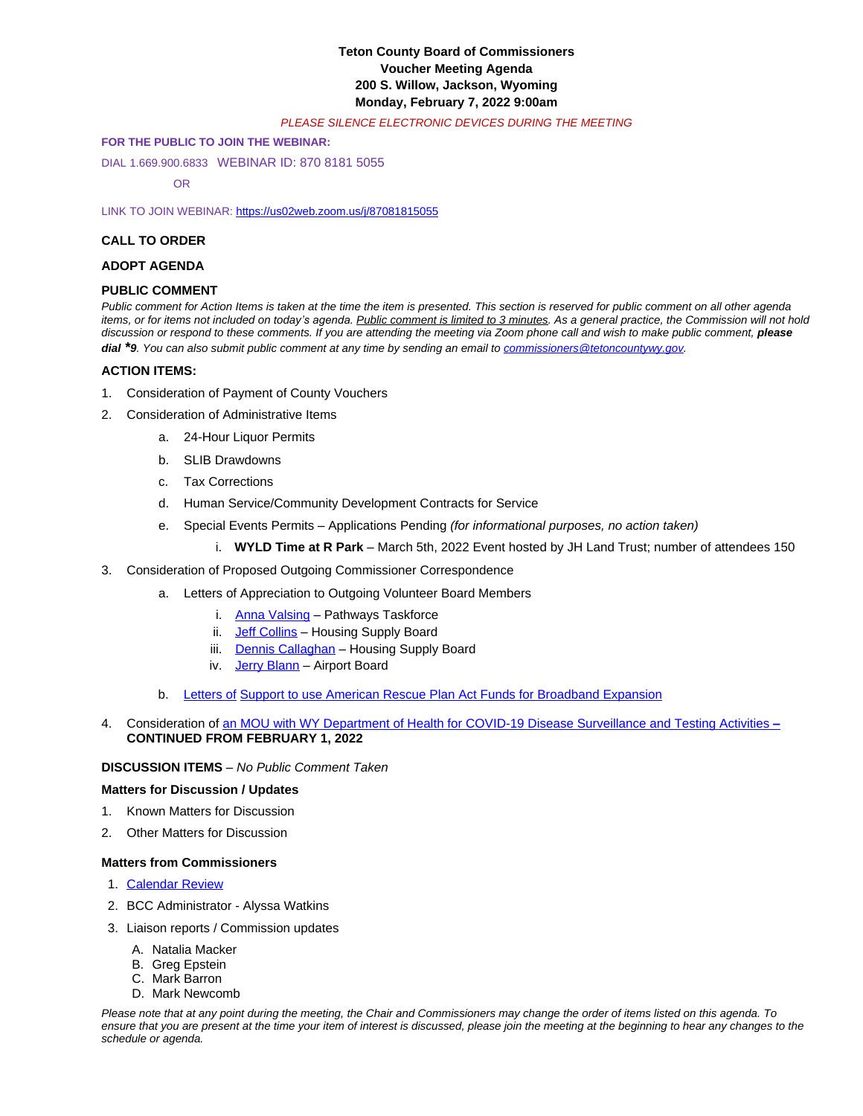# **Teton County Board of Commissioners Voucher Meeting Agenda 200 S. Willow, Jackson, Wyoming Monday, February 7, 2022 9:00am**

#### *PLEASE SILENCE ELECTRONIC DEVICES DURING THE MEETING*

### **FOR THE PUBLIC TO JOIN THE WEBINAR:**

DIAL 1.669.900.6833 WEBINAR ID: 870 8181 5055

OR

LINK TO JOIN WEBINAR: <https://us02web.zoom.us/j/87081815055>

### **CALL TO ORDER**

# **ADOPT AGENDA**

### **PUBLIC COMMENT**

*Public comment for Action Items is taken at the time the item is presented. This section is reserved for public comment on all other agenda items, or for items not included on today's agenda. Public comment is limited to 3 minutes. As a general practice, the Commission will not hold* discussion or respond to these comments. If you are attending the meeting via Zoom phone call and wish to make public comment, please *dial \*9. You can also submit public comment at any time by sending an email to [commissioners@tetoncountywy.gov.](mailto:commissioners@tetoncountywy.gov)*

### **[ACTION ITEMS:](mailto:commissioners@tetoncountywy.gov)**

- 1. [Consideration of](mailto:commissioners@tetoncountywy.gov) [Payment](mailto:commissioners@tetoncountywy.gov) [of County Vouchers](mailto:commissioners@tetoncountywy.gov)
- 2. [Consideration of Administrative Items](mailto:commissioners@tetoncountywy.gov)
	- a. [24-Hour Liquor Permits](mailto:commissioners@tetoncountywy.gov)
		- b. [SLIB Drawdowns](mailto:commissioners@tetoncountywy.gov)
		- c. [Tax Corrections](mailto:commissioners@tetoncountywy.gov)
		- d. [Human Service/Community Development Contracts for Service](mailto:commissioners@tetoncountywy.gov)
		- e. [Special Events Permits](mailto:commissioners@tetoncountywy.gov)  Applications Pend[ing](mailto:commissioners@tetoncountywy.gov) *[\(for informational purposes, no action taken\)](mailto:commissioners@tetoncountywy.gov)*
			- i. **[WYLD Time at R Park](mailto:commissioners@tetoncountywy.gov)** – [March 5th, 2022 Event hosted by JH Land Trust; number of attendees 150](mailto:commissioners@tetoncountywy.gov)
- 3. [Consideration of](mailto:commissioners@tetoncountywy.gov) [Proposed Outgoing Commissioner Correspondence](mailto:commissioners@tetoncountywy.gov)
	- a. [Letters of Appreciation to Outgoing Volunteer Board Members](mailto:commissioners@tetoncountywy.gov)
		- i. [Anna Valsing](https://tetoncountywy.gov/DocumentCenter/View/21149/Anna-Valsing-Pathways-Taskforce) Pathways Taskforce
		- ii. [Jeff Collins](https://tetoncountywy.gov/DocumentCenter/View/21151/Jeff-Collins-Housing-Supply-Board) [Housing Supply Board](https://tetoncountywy.gov/DocumentCenter/View/21151/Jeff-Collins-Housing-Supply-Board)
		- iii. [Dennis Callaghan](https://tetoncountywy.gov/DocumentCenter/View/21150/Dennis-Callaghan) Housing Supply Board
		- iv. [Jerry Blann](https://tetoncountywy.gov/DocumentCenter/View/21152/Jerry-Blann-Airport) Airport Board
	- b. [Letters of](https://tetoncountywy.gov/DocumentCenter/View/21168/02073b-Letters) [Support to use American Rescue Plan Act Funds for Broadband Expansion](https://tetoncountywy.gov/DocumentCenter/View/21168/02073b-Letters)
- 4. [Consideration of](https://tetoncountywy.gov/DocumentCenter/View/21168/02073b-Letters) [an MOU with WY Department of Health for COVID-19 Disease Surveillance and Testing Activities](https://tetoncountywy.gov/DocumentCenter/View/21161/02012-MOU-for-COVID-19-Surveillance-and-Testing-Activities) **[–](https://tetoncountywy.gov/DocumentCenter/View/21161/02012-MOU-for-COVID-19-Surveillance-and-Testing-Activities) CONTINUED FROM FEBRUARY 1, 2022**

## **DISCUSSION ITEMS** *– No Public Comment Taken*

#### **Matters for Discussion / Updates**

- 1. Known Matters for Discussion
- 2. Other Matters for Discussion

#### **Matters from Commissioners**

- 1. [Calendar Review](https://tetoncountywy.gov/DocumentCenter/View/21148/0207-Calendar)
- 2. [BCC](https://tetoncountywy.gov/DocumentCenter/View/21148/0207-Calendar) [Administrator Alyssa Watkins](https://tetoncountywy.gov/DocumentCenter/View/21148/0207-Calendar)
- 3. [Liaison reports](https://tetoncountywy.gov/DocumentCenter/View/21148/0207-Calendar) [/](https://tetoncountywy.gov/DocumentCenter/View/21148/0207-Calendar) [Commission](https://tetoncountywy.gov/DocumentCenter/View/21148/0207-Calendar) [updates](https://tetoncountywy.gov/DocumentCenter/View/21148/0207-Calendar)
	- A. [Natalia Macker](https://tetoncountywy.gov/DocumentCenter/View/21148/0207-Calendar)
	- B. [Greg Epstein](https://tetoncountywy.gov/DocumentCenter/View/21148/0207-Calendar)
	- C. [Mark Barron](https://tetoncountywy.gov/DocumentCenter/View/21148/0207-Calendar)
	- D. [Mark Newcomb](https://tetoncountywy.gov/DocumentCenter/View/21148/0207-Calendar)

*Please note that at any point during the meeting, the Chair and Commissioners may change the order of items listed on this agenda. To ensure that you are present at the time your item of interest is discussed, please join the meeting at the beginning to hear any changes to the schedule or agenda.*